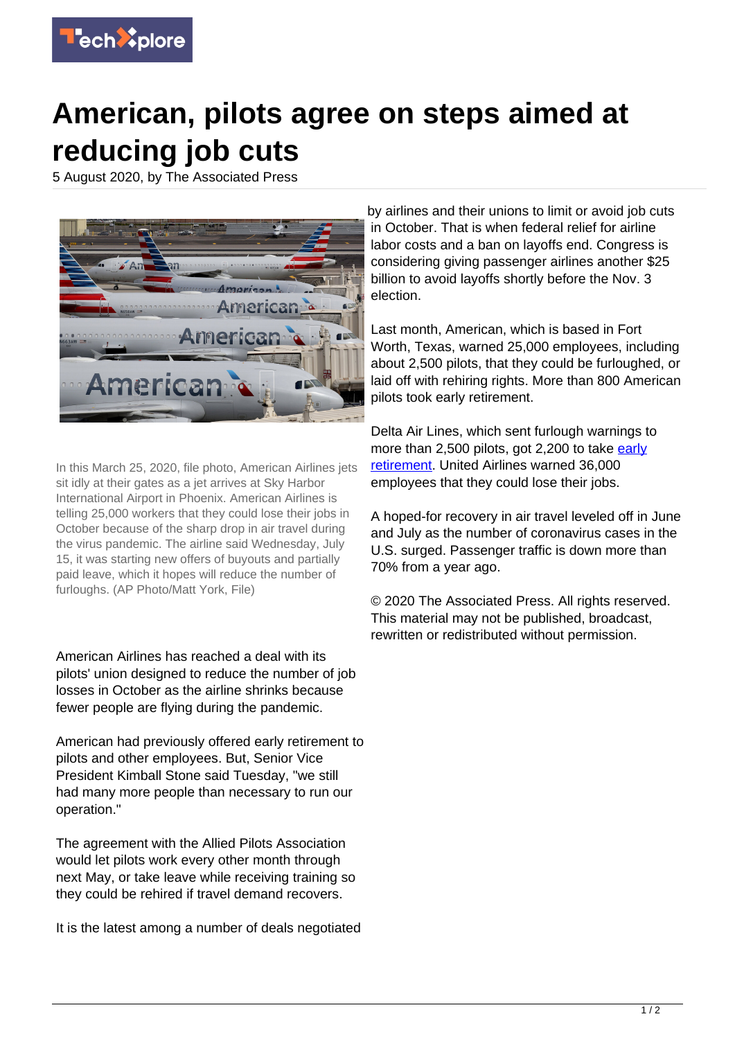

## **American, pilots agree on steps aimed at reducing job cuts**

5 August 2020, by The Associated Press



In this March 25, 2020, file photo, American Airlines jets sit idly at their gates as a jet arrives at Sky Harbor International Airport in Phoenix. American Airlines is telling 25,000 workers that they could lose their jobs in October because of the sharp drop in air travel during the virus pandemic. The airline said Wednesday, July 15, it was starting new offers of buyouts and partially paid leave, which it hopes will reduce the number of furloughs. (AP Photo/Matt York, File)

American Airlines has reached a deal with its pilots' union designed to reduce the number of job losses in October as the airline shrinks because fewer people are flying during the pandemic.

American had previously offered early retirement to pilots and other employees. But, Senior Vice President Kimball Stone said Tuesday, "we still had many more people than necessary to run our operation."

The agreement with the Allied Pilots Association would let pilots work every other month through next May, or take leave while receiving training so they could be rehired if travel demand recovers.

It is the latest among a number of deals negotiated

by airlines and their unions to limit or avoid job cuts in October. That is when federal relief for airline labor costs and a ban on layoffs end. Congress is considering giving passenger airlines another \$25 billion to avoid layoffs shortly before the Nov. 3 election.

Last month, American, which is based in Fort Worth, Texas, warned 25,000 employees, including about 2,500 pilots, that they could be furloughed, or laid off with rehiring rights. More than 800 American pilots took early retirement.

Delta Air Lines, which sent furlough warnings to more than 2,500 pilots, got 2,200 to take [early](https://techxplore.com/tags/early+retirement/) [retirement.](https://techxplore.com/tags/early+retirement/) United Airlines warned 36,000 employees that they could lose their jobs.

A hoped-for recovery in air travel leveled off in June and July as the number of coronavirus cases in the U.S. surged. Passenger traffic is down more than 70% from a year ago.

© 2020 The Associated Press. All rights reserved. This material may not be published, broadcast, rewritten or redistributed without permission.